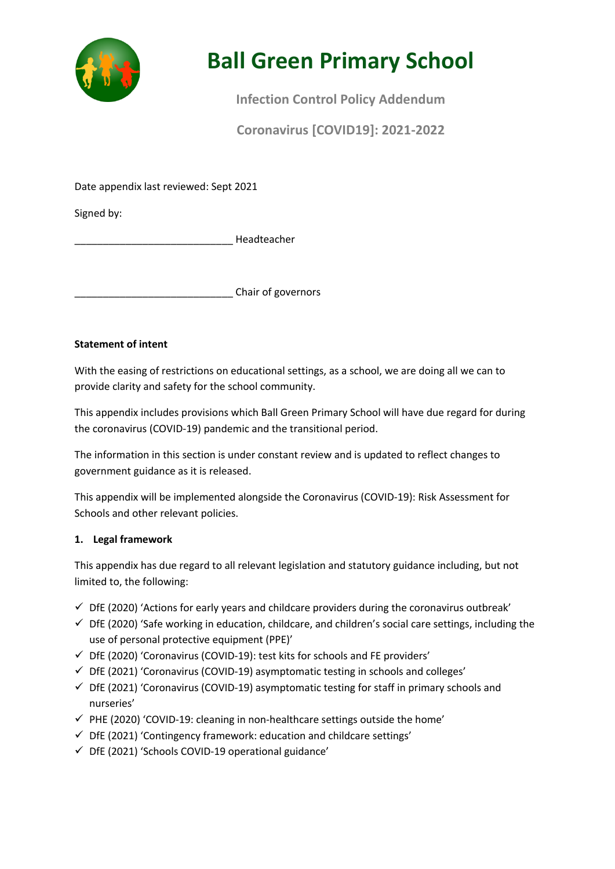

# **Ball Green Primary School**

**Infection Control Policy Addendum** 

**Coronavirus [COVID19]: 2021-2022**

Date appendix last reviewed: Sept 2021

Signed by:

\_\_\_\_\_\_\_\_\_\_\_\_\_\_\_\_\_\_\_\_\_\_\_\_\_\_\_\_ Headteacher

\_\_\_\_\_\_\_\_\_\_\_\_\_\_\_\_\_\_\_\_\_\_\_\_\_\_\_\_ Chair of governors

# **Statement of intent**

With the easing of restrictions on educational settings, as a school, we are doing all we can to provide clarity and safety for the school community.

This appendix includes provisions which Ball Green Primary School will have due regard for during the coronavirus (COVID-19) pandemic and the transitional period.

The information in this section is under constant review and is updated to reflect changes to government guidance as it is released.

This appendix will be implemented alongside the Coronavirus (COVID-19): Risk Assessment for Schools and other relevant policies.

# **1. Legal framework**

This appendix has due regard to all relevant legislation and statutory guidance including, but not limited to, the following:

- $\checkmark$  DfE (2020) 'Actions for early years and childcare providers during the coronavirus outbreak'
- $\checkmark$  DfE (2020) 'Safe working in education, childcare, and children's social care settings, including the use of personal protective equipment (PPE)'
- $\checkmark$  DfE (2020) 'Coronavirus (COVID-19): test kits for schools and FE providers'
- $\checkmark$  DfE (2021) 'Coronavirus (COVID-19) asymptomatic testing in schools and colleges'
- $\checkmark$  DfE (2021) 'Coronavirus (COVID-19) asymptomatic testing for staff in primary schools and nurseries'
- $\checkmark$  PHE (2020) 'COVID-19: cleaning in non-healthcare settings outside the home'
- $\checkmark$  DfE (2021) 'Contingency framework: education and childcare settings'
- $\checkmark$  DfE (2021) 'Schools COVID-19 operational guidance'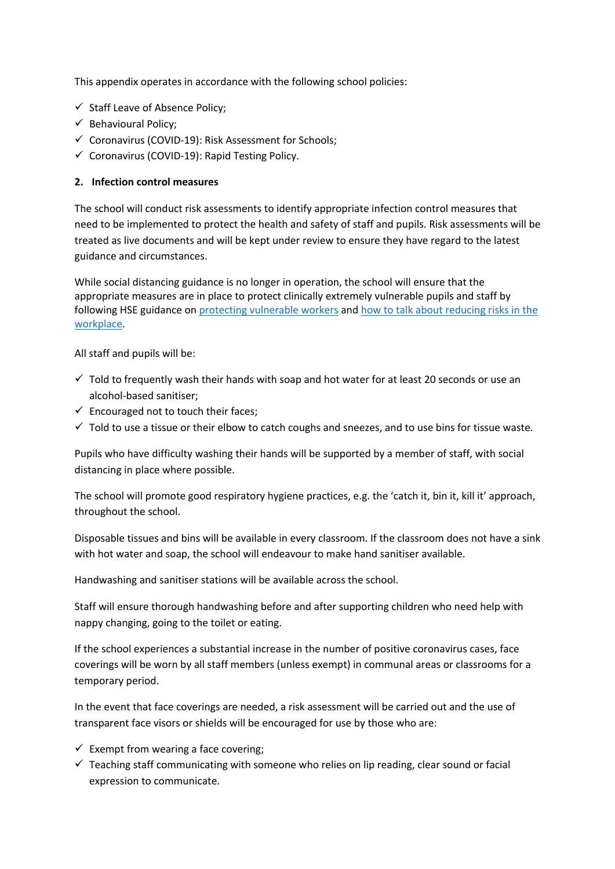This appendix operates in accordance with the following school policies:

- $\checkmark$  Staff Leave of Absence Policy;
- $\checkmark$  Behavioural Policy;
- $\checkmark$  Coronavirus (COVID-19): Risk Assessment for Schools;
- $\checkmark$  Coronavirus (COVID-19): Rapid Testing Policy.

### **2. Infection control measures**

The school will conduct risk assessments to identify appropriate infection control measures that need to be implemented to protect the health and safety of staff and pupils. Risk assessments will be treated as live documents and will be kept under review to ensure they have regard to the latest guidance and circumstances.

While social distancing guidance is no longer in operation, the school will ensure that the appropriate measures are in place to protect clinically extremely vulnerable pupils and staff by following HSE guidance on protecting vulnerable workers and how to talk about reducing risks in the workplace.

All staff and pupils will be:

- $\checkmark$  Told to frequently wash their hands with soap and hot water for at least 20 seconds or use an alcohol-based sanitiser;
- $\checkmark$  Encouraged not to touch their faces;
- $\checkmark$  Told to use a tissue or their elbow to catch coughs and sneezes, and to use bins for tissue waste.

Pupils who have difficulty washing their hands will be supported by a member of staff, with social distancing in place where possible.

The school will promote good respiratory hygiene practices, e.g. the 'catch it, bin it, kill it' approach, throughout the school.

Disposable tissues and bins will be available in every classroom. If the classroom does not have a sink with hot water and soap, the school will endeavour to make hand sanitiser available.

Handwashing and sanitiser stations will be available across the school.

Staff will ensure thorough handwashing before and after supporting children who need help with nappy changing, going to the toilet or eating.

If the school experiences a substantial increase in the number of positive coronavirus cases, face coverings will be worn by all staff members (unless exempt) in communal areas or classrooms for a temporary period.

In the event that face coverings are needed, a risk assessment will be carried out and the use of transparent face visors or shields will be encouraged for use by those who are:

- $\checkmark$  Exempt from wearing a face covering;
- $\checkmark$  Teaching staff communicating with someone who relies on lip reading, clear sound or facial expression to communicate.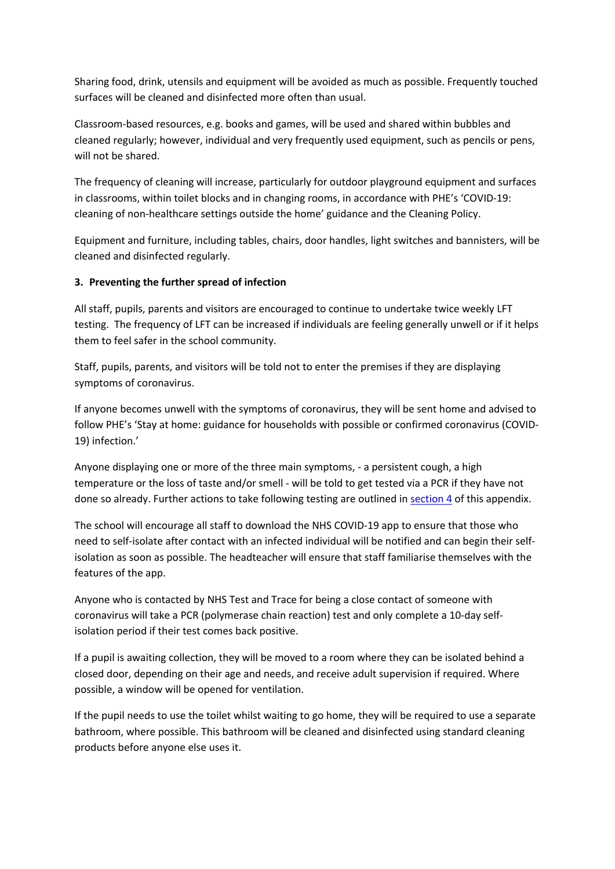Sharing food, drink, utensils and equipment will be avoided as much as possible. Frequently touched surfaces will be cleaned and disinfected more often than usual.

Classroom-based resources, e.g. books and games, will be used and shared within bubbles and cleaned regularly; however, individual and very frequently used equipment, such as pencils or pens, will not be shared.

The frequency of cleaning will increase, particularly for outdoor playground equipment and surfaces in classrooms, within toilet blocks and in changing rooms, in accordance with PHE's 'COVID-19: cleaning of non-healthcare settings outside the home' guidance and the Cleaning Policy.

Equipment and furniture, including tables, chairs, door handles, light switches and bannisters, will be cleaned and disinfected regularly.

# **3. Preventing the further spread of infection**

All staff, pupils, parents and visitors are encouraged to continue to undertake twice weekly LFT testing. The frequency of LFT can be increased if individuals are feeling generally unwell or if it helps them to feel safer in the school community.

Staff, pupils, parents, and visitors will be told not to enter the premises if they are displaying symptoms of coronavirus.

If anyone becomes unwell with the symptoms of coronavirus, they will be sent home and advised to follow PHE's 'Stay at home: guidance for households with possible or confirmed coronavirus (COVID-19) infection.'

Anyone displaying one or more of the three main symptoms, - a persistent cough, a high temperature or the loss of taste and/or smell - will be told to get tested via a PCR if they have not done so already. Further actions to take following testing are outlined in section 4 of this appendix.

The school will encourage all staff to download the NHS COVID-19 app to ensure that those who need to self-isolate after contact with an infected individual will be notified and can begin their selfisolation as soon as possible. The headteacher will ensure that staff familiarise themselves with the features of the app.

Anyone who is contacted by NHS Test and Trace for being a close contact of someone with coronavirus will take a PCR (polymerase chain reaction) test and only complete a 10-day selfisolation period if their test comes back positive.

If a pupil is awaiting collection, they will be moved to a room where they can be isolated behind a closed door, depending on their age and needs, and receive adult supervision if required. Where possible, a window will be opened for ventilation.

If the pupil needs to use the toilet whilst waiting to go home, they will be required to use a separate bathroom, where possible. This bathroom will be cleaned and disinfected using standard cleaning products before anyone else uses it.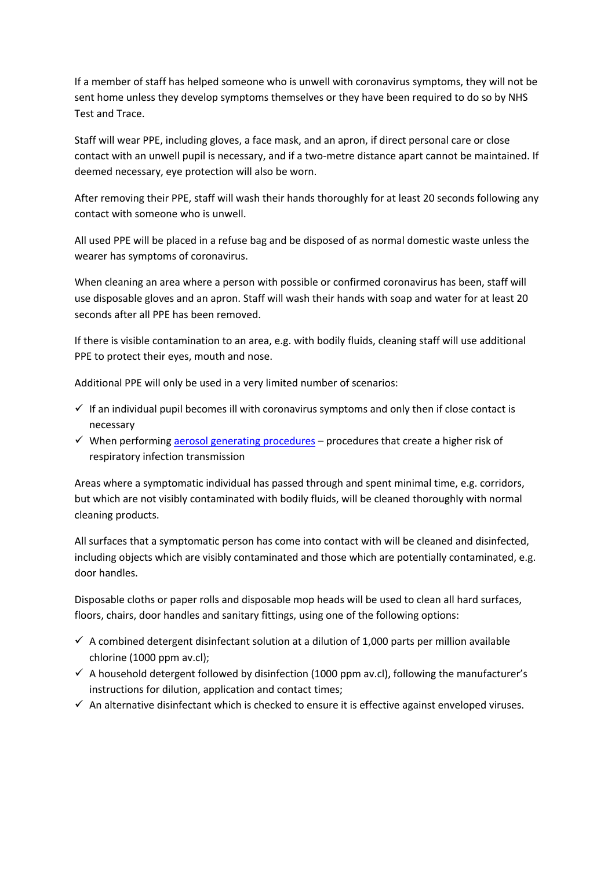If a member of staff has helped someone who is unwell with coronavirus symptoms, they will not be sent home unless they develop symptoms themselves or they have been required to do so by NHS Test and Trace.

Staff will wear PPE, including gloves, a face mask, and an apron, if direct personal care or close contact with an unwell pupil is necessary, and if a two-metre distance apart cannot be maintained. If deemed necessary, eye protection will also be worn.

After removing their PPE, staff will wash their hands thoroughly for at least 20 seconds following any contact with someone who is unwell.

All used PPE will be placed in a refuse bag and be disposed of as normal domestic waste unless the wearer has symptoms of coronavirus.

When cleaning an area where a person with possible or confirmed coronavirus has been, staff will use disposable gloves and an apron. Staff will wash their hands with soap and water for at least 20 seconds after all PPE has been removed.

If there is visible contamination to an area, e.g. with bodily fluids, cleaning staff will use additional PPE to protect their eyes, mouth and nose.

Additional PPE will only be used in a very limited number of scenarios:

- $\checkmark$  If an individual pupil becomes ill with coronavirus symptoms and only then if close contact is necessary
- $\checkmark$  When performing aerosol generating procedures procedures that create a higher risk of respiratory infection transmission

Areas where a symptomatic individual has passed through and spent minimal time, e.g. corridors, but which are not visibly contaminated with bodily fluids, will be cleaned thoroughly with normal cleaning products.

All surfaces that a symptomatic person has come into contact with will be cleaned and disinfected, including objects which are visibly contaminated and those which are potentially contaminated, e.g. door handles.

Disposable cloths or paper rolls and disposable mop heads will be used to clean all hard surfaces, floors, chairs, door handles and sanitary fittings, using one of the following options:

- $\checkmark$  A combined detergent disinfectant solution at a dilution of 1,000 parts per million available chlorine (1000 ppm av.cl);
- $\checkmark$  A household detergent followed by disinfection (1000 ppm av.cl), following the manufacturer's instructions for dilution, application and contact times;
- $\checkmark$  An alternative disinfectant which is checked to ensure it is effective against enveloped viruses.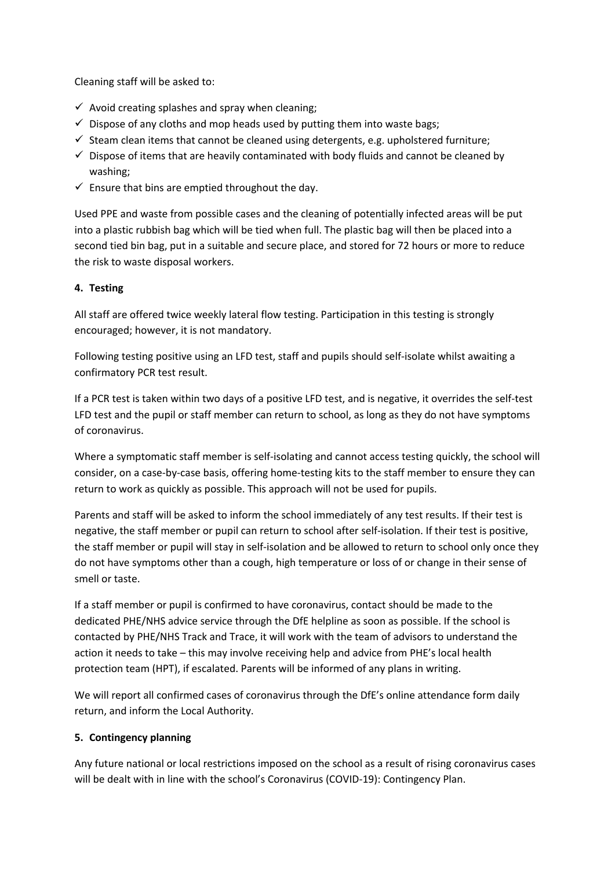Cleaning staff will be asked to:

- $\checkmark$  Avoid creating splashes and spray when cleaning;
- $\checkmark$  Dispose of any cloths and mop heads used by putting them into waste bags;
- $\checkmark$  Steam clean items that cannot be cleaned using detergents, e.g. upholstered furniture;
- $\checkmark$  Dispose of items that are heavily contaminated with body fluids and cannot be cleaned by washing;
- $\checkmark$  Ensure that bins are emptied throughout the day.

Used PPE and waste from possible cases and the cleaning of potentially infected areas will be put into a plastic rubbish bag which will be tied when full. The plastic bag will then be placed into a second tied bin bag, put in a suitable and secure place, and stored for 72 hours or more to reduce the risk to waste disposal workers.

# **4. Testing**

All staff are offered twice weekly lateral flow testing. Participation in this testing is strongly encouraged; however, it is not mandatory.

Following testing positive using an LFD test, staff and pupils should self-isolate whilst awaiting a confirmatory PCR test result.

If a PCR test is taken within two days of a positive LFD test, and is negative, it overrides the self-test LFD test and the pupil or staff member can return to school, as long as they do not have symptoms of coronavirus.

Where a symptomatic staff member is self-isolating and cannot access testing quickly, the school will consider, on a case-by-case basis, offering home-testing kits to the staff member to ensure they can return to work as quickly as possible. This approach will not be used for pupils.

Parents and staff will be asked to inform the school immediately of any test results. If their test is negative, the staff member or pupil can return to school after self-isolation. If their test is positive, the staff member or pupil will stay in self-isolation and be allowed to return to school only once they do not have symptoms other than a cough, high temperature or loss of or change in their sense of smell or taste.

If a staff member or pupil is confirmed to have coronavirus, contact should be made to the dedicated PHE/NHS advice service through the DfE helpline as soon as possible. If the school is contacted by PHE/NHS Track and Trace, it will work with the team of advisors to understand the action it needs to take – this may involve receiving help and advice from PHE's local health protection team (HPT), if escalated. Parents will be informed of any plans in writing.

We will report all confirmed cases of coronavirus through the DfE's online attendance form daily return, and inform the Local Authority.

# **5. Contingency planning**

Any future national or local restrictions imposed on the school as a result of rising coronavirus cases will be dealt with in line with the school's Coronavirus (COVID-19): Contingency Plan.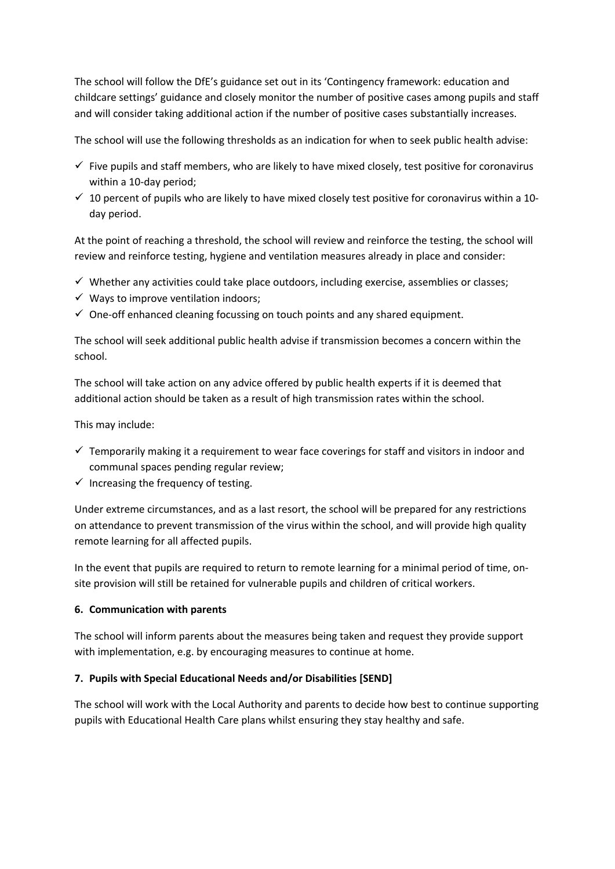The school will follow the DfE's guidance set out in its 'Contingency framework: education and childcare settings' guidance and closely monitor the number of positive cases among pupils and staff and will consider taking additional action if the number of positive cases substantially increases.

The school will use the following thresholds as an indication for when to seek public health advise:

- $\checkmark$  Five pupils and staff members, who are likely to have mixed closely, test positive for coronavirus within a 10-day period;
- $\checkmark$  10 percent of pupils who are likely to have mixed closely test positive for coronavirus within a 10day period.

At the point of reaching a threshold, the school will review and reinforce the testing, the school will review and reinforce testing, hygiene and ventilation measures already in place and consider:

- $\checkmark$  Whether any activities could take place outdoors, including exercise, assemblies or classes;
- $\checkmark$  Ways to improve ventilation indoors;
- $\checkmark$  One-off enhanced cleaning focussing on touch points and any shared equipment.

The school will seek additional public health advise if transmission becomes a concern within the school.

The school will take action on any advice offered by public health experts if it is deemed that additional action should be taken as a result of high transmission rates within the school.

This may include:

- $\checkmark$  Temporarily making it a requirement to wear face coverings for staff and visitors in indoor and communal spaces pending regular review;
- $\checkmark$  Increasing the frequency of testing.

Under extreme circumstances, and as a last resort, the school will be prepared for any restrictions on attendance to prevent transmission of the virus within the school, and will provide high quality remote learning for all affected pupils.

In the event that pupils are required to return to remote learning for a minimal period of time, onsite provision will still be retained for vulnerable pupils and children of critical workers.

#### **6. Communication with parents**

The school will inform parents about the measures being taken and request they provide support with implementation, e.g. by encouraging measures to continue at home.

#### **7. Pupils with Special Educational Needs and/or Disabilities [SEND]**

The school will work with the Local Authority and parents to decide how best to continue supporting pupils with Educational Health Care plans whilst ensuring they stay healthy and safe.